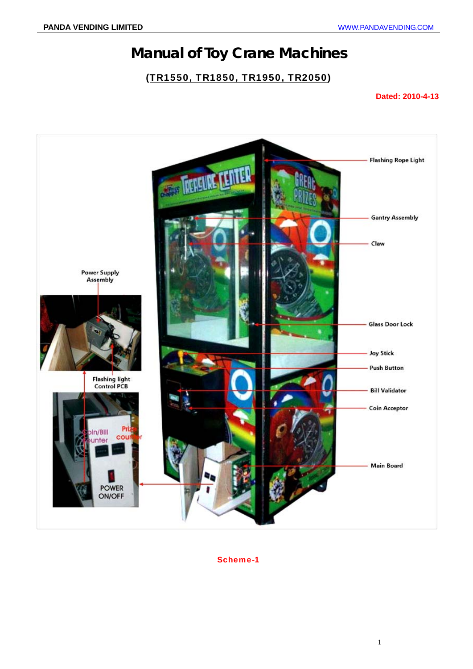## **Manual of Toy Crane Machines**

#### (TR1550, TR1850, TR1950, TR2050)

#### **Dated: 2010-4-13**



Scheme-1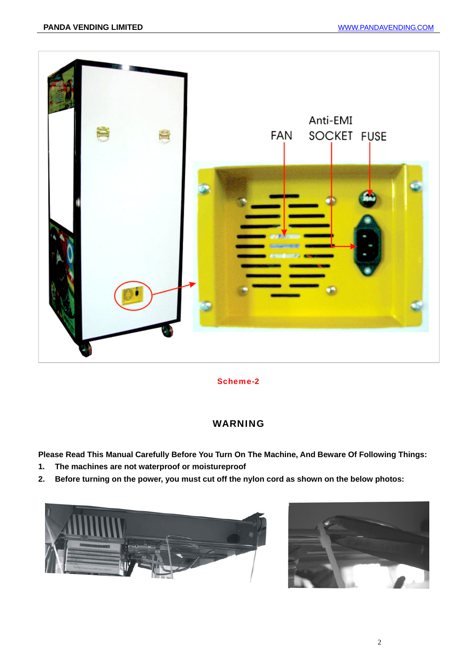

Scheme-2

#### WARNING

**Please Read This Manual Carefully Before You Turn On The Machine, And Beware Of Following Things:** 

- **1. The machines are not waterproof or moistureproof**
- **2. Before turning on the power, you must cut off the nylon cord as shown on the below photos:**



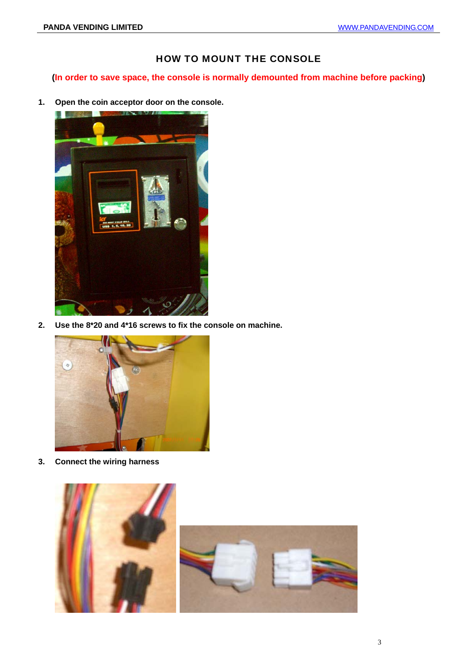#### HOW TO MOUNT THE CONSOLE

**(In order to save space, the console is normally demounted from machine before packing)** 

**1. Open the coin acceptor door on the console.** 



**2. Use the 8\*20 and 4\*16 screws to fix the console on machine.** 



**3. Connect the wiring harness** 

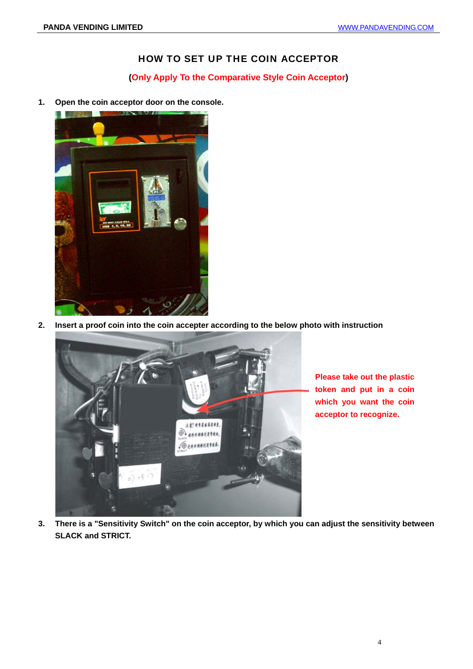#### HOW TO SET UP THE COIN ACCEPTOR

#### **(Only Apply To the Comparative Style Coin Acceptor)**

**1. Open the coin acceptor door on the console.** 



**2. Insert a proof coin into the coin accepter according to the below photo with instruction**



**Please take out the plastic token and put in a coin which you want the coin acceptor to recognize.** 

**3. There is a "Sensitivity Switch" on the coin acceptor, by which you can adjust the sensitivity between SLACK and STRICT.**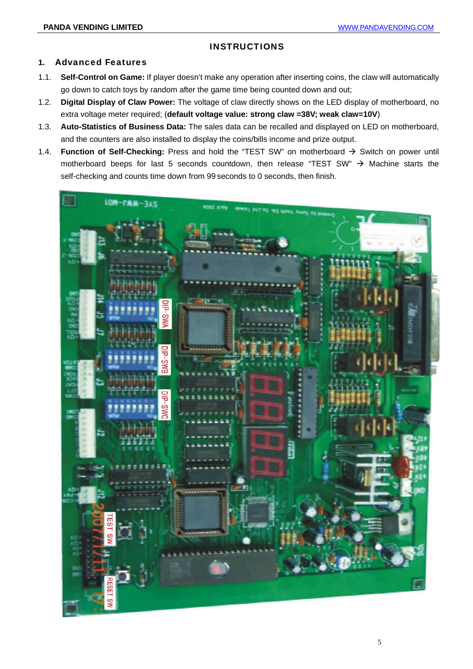#### **INSTRUCTIONS**

#### **1.** Advanced Features

- 1.1. **Self-Control on Game:** If player doesn't make any operation after inserting coins, the claw will automatically go down to catch toys by random after the game time being counted down and out;
- 1.2. **Digital Display of Claw Power:** The voltage of claw directly shows on the LED display of motherboard, no extra voltage meter required; (**default voltage value: strong claw =38V; weak claw=10V**)
- 1.3. **Auto-Statistics of Business Data:** The sales data can be recalled and displayed on LED on motherboard, and the counters are also installed to display the coins/bills income and prize output.
- 1.4. **Function of Self-Checking:** Press and hold the "TEST SW" on motherboard  $\rightarrow$  Switch on power until motherboard beeps for last 5 seconds countdown, then release "TEST SW"  $\rightarrow$  Machine starts the self-checking and counts time down from 99 seconds to 0 seconds, then finish.

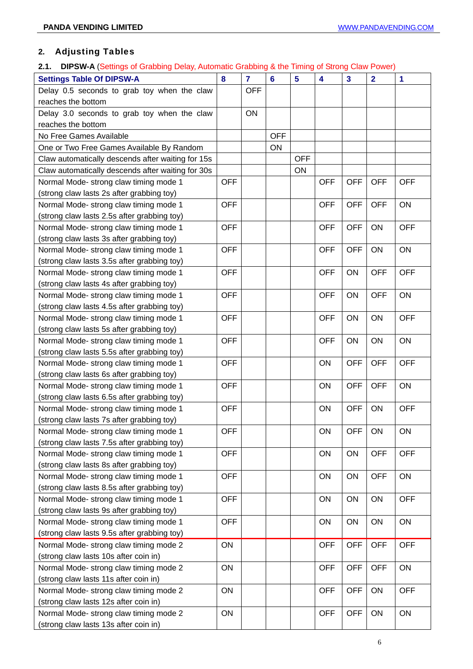### **2.** Adjusting Tables

### **2.1. DIPSW-A** (Settings of Grabbing Delay, Automatic Grabbing & the Timing of Strong Claw Power)

| <b>Settings Table Of DIPSW-A</b>                  | 8          | $\overline{7}$ | $6\phantom{1}6$ | 5          | 4          | $\overline{\mathbf{3}}$ | $\overline{2}$ | 1          |
|---------------------------------------------------|------------|----------------|-----------------|------------|------------|-------------------------|----------------|------------|
| Delay 0.5 seconds to grab toy when the claw       |            | <b>OFF</b>     |                 |            |            |                         |                |            |
| reaches the bottom                                |            |                |                 |            |            |                         |                |            |
| Delay 3.0 seconds to grab toy when the claw       |            | ON             |                 |            |            |                         |                |            |
| reaches the bottom                                |            |                |                 |            |            |                         |                |            |
| No Free Games Available                           |            |                | <b>OFF</b>      |            |            |                         |                |            |
| One or Two Free Games Available By Random         |            |                | ON              |            |            |                         |                |            |
| Claw automatically descends after waiting for 15s |            |                |                 | <b>OFF</b> |            |                         |                |            |
| Claw automatically descends after waiting for 30s |            |                |                 | ON         |            |                         |                |            |
| Normal Mode- strong claw timing mode 1            | <b>OFF</b> |                |                 |            | <b>OFF</b> | <b>OFF</b>              | <b>OFF</b>     | <b>OFF</b> |
| (strong claw lasts 2s after grabbing toy)         |            |                |                 |            |            |                         |                |            |
| Normal Mode- strong claw timing mode 1            | <b>OFF</b> |                |                 |            | <b>OFF</b> | <b>OFF</b>              | <b>OFF</b>     | ON         |
| (strong claw lasts 2.5s after grabbing toy)       |            |                |                 |            |            |                         |                |            |
| Normal Mode- strong claw timing mode 1            | <b>OFF</b> |                |                 |            | <b>OFF</b> | <b>OFF</b>              | ON             | <b>OFF</b> |
| (strong claw lasts 3s after grabbing toy)         |            |                |                 |            |            |                         |                |            |
| Normal Mode- strong claw timing mode 1            | <b>OFF</b> |                |                 |            | <b>OFF</b> | <b>OFF</b>              | ON             | ON         |
| (strong claw lasts 3.5s after grabbing toy)       |            |                |                 |            |            |                         |                |            |
| Normal Mode- strong claw timing mode 1            | <b>OFF</b> |                |                 |            | <b>OFF</b> | ON                      | <b>OFF</b>     | <b>OFF</b> |
| (strong claw lasts 4s after grabbing toy)         |            |                |                 |            |            |                         |                |            |
| Normal Mode- strong claw timing mode 1            | <b>OFF</b> |                |                 |            | <b>OFF</b> | ON                      | <b>OFF</b>     | ON         |
| (strong claw lasts 4.5s after grabbing toy)       |            |                |                 |            |            |                         |                |            |
| Normal Mode- strong claw timing mode 1            | <b>OFF</b> |                |                 |            | <b>OFF</b> | ON                      | ON             | <b>OFF</b> |
| (strong claw lasts 5s after grabbing toy)         |            |                |                 |            |            |                         |                |            |
| Normal Mode- strong claw timing mode 1            |            |                |                 |            | <b>OFF</b> | ON                      | ON             | ON         |
| (strong claw lasts 5.5s after grabbing toy)       |            |                |                 |            |            |                         |                |            |
| Normal Mode- strong claw timing mode 1            | <b>OFF</b> |                |                 |            | ON         | <b>OFF</b>              | <b>OFF</b>     | <b>OFF</b> |
| (strong claw lasts 6s after grabbing toy)         |            |                |                 |            |            |                         |                |            |
| Normal Mode- strong claw timing mode 1            | <b>OFF</b> |                |                 |            | ON         | <b>OFF</b>              | <b>OFF</b>     | ON         |
| (strong claw lasts 6.5s after grabbing toy)       |            |                |                 |            |            |                         |                |            |
| Normal Mode- strong claw timing mode 1            | <b>OFF</b> |                |                 |            | ON         | <b>OFF</b>              | ON             | <b>OFF</b> |
| (strong claw lasts 7s after grabbing toy)         |            |                |                 |            |            |                         |                |            |
| Normal Mode-strong claw timing mode 1             | <b>OFF</b> |                |                 |            | <b>ON</b>  | <b>OFF</b>              | <b>ON</b>      | <b>ON</b>  |
| (strong claw lasts 7.5s after grabbing toy)       |            |                |                 |            |            |                         |                |            |
| Normal Mode- strong claw timing mode 1            | <b>OFF</b> |                |                 |            | ON         | ON                      | <b>OFF</b>     | <b>OFF</b> |
| (strong claw lasts 8s after grabbing toy)         |            |                |                 |            |            |                         |                |            |
| Normal Mode- strong claw timing mode 1            | <b>OFF</b> |                |                 |            | ON         | ON                      | <b>OFF</b>     | ON         |
| (strong claw lasts 8.5s after grabbing toy)       |            |                |                 |            |            |                         |                |            |
| Normal Mode- strong claw timing mode 1            | <b>OFF</b> |                |                 |            | ON         | ON                      | ON             | <b>OFF</b> |
| (strong claw lasts 9s after grabbing toy)         |            |                |                 |            |            |                         |                |            |
| Normal Mode- strong claw timing mode 1            | <b>OFF</b> |                |                 |            | ON         | ON                      | ON             | ON         |
| (strong claw lasts 9.5s after grabbing toy)       |            |                |                 |            |            |                         |                |            |
| Normal Mode- strong claw timing mode 2            | ON         |                |                 |            | <b>OFF</b> | <b>OFF</b>              | <b>OFF</b>     | <b>OFF</b> |
| (strong claw lasts 10s after coin in)             |            |                |                 |            |            |                         |                |            |
| Normal Mode- strong claw timing mode 2            | ON         |                |                 |            | <b>OFF</b> | <b>OFF</b>              | <b>OFF</b>     | ON         |
| (strong claw lasts 11s after coin in)             |            |                |                 |            |            |                         |                |            |
| Normal Mode- strong claw timing mode 2            | ON         |                |                 |            | <b>OFF</b> | <b>OFF</b>              | ON             | <b>OFF</b> |
| (strong claw lasts 12s after coin in)             |            |                |                 |            |            |                         |                |            |
| Normal Mode- strong claw timing mode 2            | ON         |                |                 |            | <b>OFF</b> | <b>OFF</b>              | ON             | ON         |
| (strong claw lasts 13s after coin in)             |            |                |                 |            |            |                         |                |            |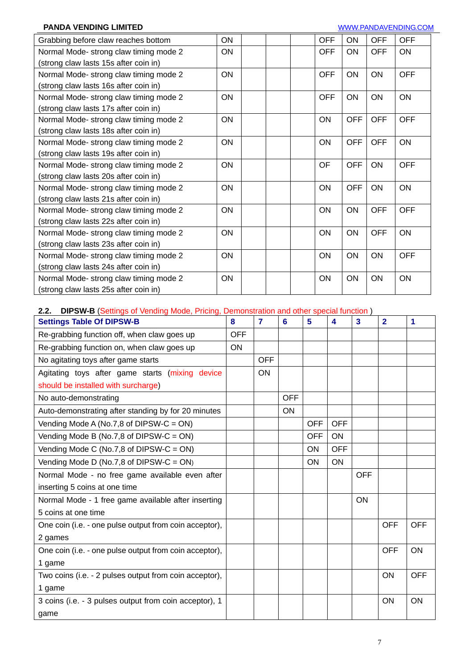#### **PANDA VENDING LIMITED** WWW.PANDAVENDING.COM

| Grabbing before claw reaches bottom    | ON        | <b>OFF</b> | ON         | <b>OFF</b> | <b>OFF</b> |
|----------------------------------------|-----------|------------|------------|------------|------------|
| Normal Mode-strong claw timing mode 2  | <b>ON</b> | <b>OFF</b> | <b>ON</b>  | <b>OFF</b> | ON         |
| (strong claw lasts 15s after coin in)  |           |            |            |            |            |
| Normal Mode- strong claw timing mode 2 | ON        | <b>OFF</b> | ON         | ON         | <b>OFF</b> |
| (strong claw lasts 16s after coin in)  |           |            |            |            |            |
| Normal Mode- strong claw timing mode 2 | ON        | <b>OFF</b> | <b>ON</b>  | ON         | ON         |
| (strong claw lasts 17s after coin in)  |           |            |            |            |            |
| Normal Mode-strong claw timing mode 2  | ON        | <b>ON</b>  | <b>OFF</b> | <b>OFF</b> | <b>OFF</b> |
| (strong claw lasts 18s after coin in)  |           |            |            |            |            |
| Normal Mode- strong claw timing mode 2 | ON        | <b>ON</b>  | <b>OFF</b> | <b>OFF</b> | ON         |
| (strong claw lasts 19s after coin in)  |           |            |            |            |            |
| Normal Mode- strong claw timing mode 2 | ON        | OF         | <b>OFF</b> | ON         | <b>OFF</b> |
| (strong claw lasts 20s after coin in)  |           |            |            |            |            |
| Normal Mode- strong claw timing mode 2 | ON        | ON         | <b>OFF</b> | ON         | ON         |
| (strong claw lasts 21s after coin in)  |           |            |            |            |            |
| Normal Mode-strong claw timing mode 2  | ON        | <b>ON</b>  | <b>ON</b>  | <b>OFF</b> | <b>OFF</b> |
| (strong claw lasts 22s after coin in)  |           |            |            |            |            |
| Normal Mode- strong claw timing mode 2 | ON        | <b>ON</b>  | <b>ON</b>  | <b>OFF</b> | ON         |
| (strong claw lasts 23s after coin in)  |           |            |            |            |            |
| Normal Mode- strong claw timing mode 2 | ON        | ON         | <b>ON</b>  | ON         | <b>OFF</b> |
| (strong claw lasts 24s after coin in)  |           |            |            |            |            |
| Normal Mode- strong claw timing mode 2 | ON        | ON         | <b>ON</b>  | ON         | ON         |
| (strong claw lasts 25s after coin in)  |           |            |            |            |            |

#### **2.2. DIPSW-B** (Settings of Vending Mode, Pricing, Demonstration and other special function )

| $\sim$ (Solumys of Tonumy mode) from $\mathfrak{g}_1$<br><b>Settings Table Of DIPSW-B</b> | 8          | $\overline{7}$ | 6          | 5          | 4          | 3          | $\overline{2}$ | 1          |
|-------------------------------------------------------------------------------------------|------------|----------------|------------|------------|------------|------------|----------------|------------|
| Re-grabbing function off, when claw goes up                                               | <b>OFF</b> |                |            |            |            |            |                |            |
| Re-grabbing function on, when claw goes up                                                | ON         |                |            |            |            |            |                |            |
| No agitating toys after game starts                                                       |            | <b>OFF</b>     |            |            |            |            |                |            |
| Agitating toys after game starts (mixing device                                           |            | <b>ON</b>      |            |            |            |            |                |            |
| should be installed with surcharge)                                                       |            |                |            |            |            |            |                |            |
| No auto-demonstrating                                                                     |            |                | <b>OFF</b> |            |            |            |                |            |
| Auto-demonstrating after standing by for 20 minutes                                       |            |                | <b>ON</b>  |            |            |            |                |            |
| Vending Mode A (No.7,8 of DIPSW-C = ON)                                                   |            |                |            | <b>OFF</b> | <b>OFF</b> |            |                |            |
| Vending Mode B (No.7,8 of DIPSW-C = ON)                                                   |            |                |            | <b>OFF</b> | ON         |            |                |            |
| Vending Mode C (No.7,8 of DIPSW-C = ON)                                                   |            |                |            | ON         | <b>OFF</b> |            |                |            |
| Vending Mode D (No.7,8 of DIPSW-C = $ON$ )                                                |            |                |            | ON         | <b>ON</b>  |            |                |            |
| Normal Mode - no free game available even after                                           |            |                |            |            |            | <b>OFF</b> |                |            |
| inserting 5 coins at one time                                                             |            |                |            |            |            |            |                |            |
| Normal Mode - 1 free game available after inserting                                       |            |                |            |            |            | <b>ON</b>  |                |            |
| 5 coins at one time                                                                       |            |                |            |            |            |            |                |            |
| One coin (i.e. - one pulse output from coin acceptor),                                    |            |                |            |            |            |            | <b>OFF</b>     | <b>OFF</b> |
| 2 games                                                                                   |            |                |            |            |            |            |                |            |
| One coin (i.e. - one pulse output from coin acceptor),                                    |            |                |            |            |            |            | <b>OFF</b>     | ON         |
| 1 game                                                                                    |            |                |            |            |            |            |                |            |
| Two coins (i.e. - 2 pulses output from coin acceptor),                                    |            |                |            |            |            |            | ON             | <b>OFF</b> |
| 1 game                                                                                    |            |                |            |            |            |            |                |            |
| 3 coins (i.e. - 3 pulses output from coin acceptor), 1                                    |            |                |            |            |            |            | ON             | ON         |
| game                                                                                      |            |                |            |            |            |            |                |            |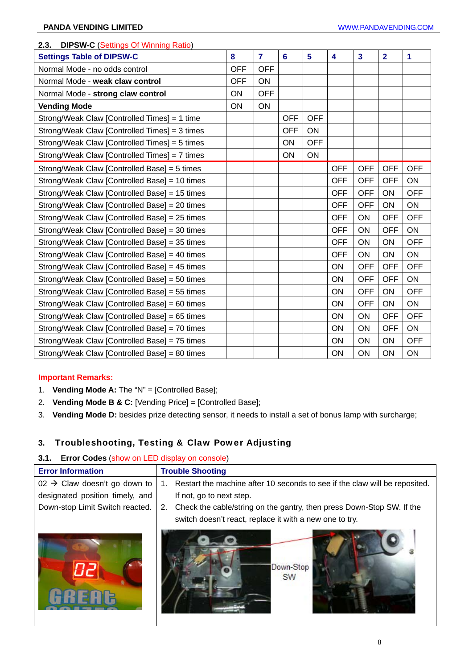| $\sim$ $\sim$ (bottings of the signal calle)<br><b>Settings Table of DIPSW-C</b> | 8          | $\overline{7}$ | $6\phantom{a}$ | 5          | $\overline{\mathbf{4}}$ | $\overline{\mathbf{3}}$ | $\overline{2}$ | 1          |
|----------------------------------------------------------------------------------|------------|----------------|----------------|------------|-------------------------|-------------------------|----------------|------------|
| Normal Mode - no odds control                                                    | <b>OFF</b> | <b>OFF</b>     |                |            |                         |                         |                |            |
| Normal Mode - weak claw control                                                  | <b>OFF</b> | <b>ON</b>      |                |            |                         |                         |                |            |
| Normal Mode - strong claw control                                                | ON         | <b>OFF</b>     |                |            |                         |                         |                |            |
| <b>Vending Mode</b>                                                              | ON         | ON             |                |            |                         |                         |                |            |
| Strong/Weak Claw [Controlled Times] = 1 time                                     |            |                | <b>OFF</b>     | <b>OFF</b> |                         |                         |                |            |
| Strong/Weak Claw [Controlled Times] = 3 times                                    |            |                | <b>OFF</b>     | ON         |                         |                         |                |            |
| Strong/Weak Claw [Controlled Times] = 5 times                                    |            |                | ON             | <b>OFF</b> |                         |                         |                |            |
| Strong/Weak Claw [Controlled Times] = 7 times                                    |            |                | ON             | ON         |                         |                         |                |            |
| Strong/Weak Claw [Controlled Base] = 5 times                                     |            |                |                |            | <b>OFF</b>              | <b>OFF</b>              | <b>OFF</b>     | <b>OFF</b> |
| Strong/Weak Claw [Controlled Base] = 10 times                                    |            |                |                |            | <b>OFF</b>              | <b>OFF</b>              | <b>OFF</b>     | ON         |
| Strong/Weak Claw [Controlled Base] = 15 times                                    |            |                |                |            | <b>OFF</b>              | <b>OFF</b>              | ON             | <b>OFF</b> |
| Strong/Weak Claw [Controlled Base] = 20 times                                    |            |                |                |            | <b>OFF</b>              | <b>OFF</b>              | ON             | ON         |
| Strong/Weak Claw [Controlled Base] = 25 times                                    |            |                |                |            | <b>OFF</b>              | ON                      | <b>OFF</b>     | <b>OFF</b> |
| Strong/Weak Claw [Controlled Base] = 30 times                                    |            |                |                |            | <b>OFF</b>              | ON                      | <b>OFF</b>     | ON         |
| Strong/Weak Claw [Controlled Base] = 35 times                                    |            |                |                |            | <b>OFF</b>              | ON                      | ON             | <b>OFF</b> |
| Strong/Weak Claw [Controlled Base] = 40 times                                    |            |                |                |            | <b>OFF</b>              | ON                      | ON             | ON         |
| Strong/Weak Claw [Controlled Base] = 45 times                                    |            |                |                |            | ON                      | <b>OFF</b>              | <b>OFF</b>     | <b>OFF</b> |
| Strong/Weak Claw [Controlled Base] = 50 times                                    |            |                |                |            | ON                      | <b>OFF</b>              | <b>OFF</b>     | ON         |
| Strong/Weak Claw [Controlled Base] = 55 times                                    |            |                |                |            | ON                      | <b>OFF</b>              | ON             | <b>OFF</b> |
| Strong/Weak Claw [Controlled Base] = 60 times                                    |            |                |                |            | ON                      | <b>OFF</b>              | ON             | ON         |
| Strong/Weak Claw [Controlled Base] = 65 times                                    |            |                |                |            | ON                      | ON                      | <b>OFF</b>     | <b>OFF</b> |
| Strong/Weak Claw [Controlled Base] = 70 times                                    |            |                |                |            | <b>ON</b>               | ON                      | <b>OFF</b>     | ON         |
| Strong/Weak Claw [Controlled Base] = 75 times                                    |            |                |                |            | ON                      | ON                      | ON             | <b>OFF</b> |
| Strong/Weak Claw [Controlled Base] = 80 times                                    |            |                |                |            | ON                      | ON                      | ON             | ON         |

#### **2.3. DIPSW-C** (Settings Of Winning Ratio)

#### **Important Remarks:**

- 1. **Vending Mode A:** The "N" = [Controlled Base];
- 2. **Vending Mode B & C:** [Vending Price] = [Controlled Base];
- 3. **Vending Mode D:** besides prize detecting sensor, it needs to install a set of bonus lamp with surcharge;

#### **3.** Troubleshooting, Testing & Claw Power Adjusting

#### **3.1. Error Codes** (show on LED display on console)

| <b>Error Information</b>                 | <b>Trouble Shooting</b>                                                     |
|------------------------------------------|-----------------------------------------------------------------------------|
| $02 \rightarrow$ Claw doesn't go down to | Restart the machine after 10 seconds to see if the claw will be reposited.  |
| designated position timely, and          | If not, go to next step.                                                    |
| Down-stop Limit Switch reacted.          | Check the cable/string on the gantry, then press Down-Stop SW. If the<br>2. |
|                                          | switch doesn't react, replace it with a new one to try.                     |
|                                          | Down-Stop<br><b>SW</b>                                                      |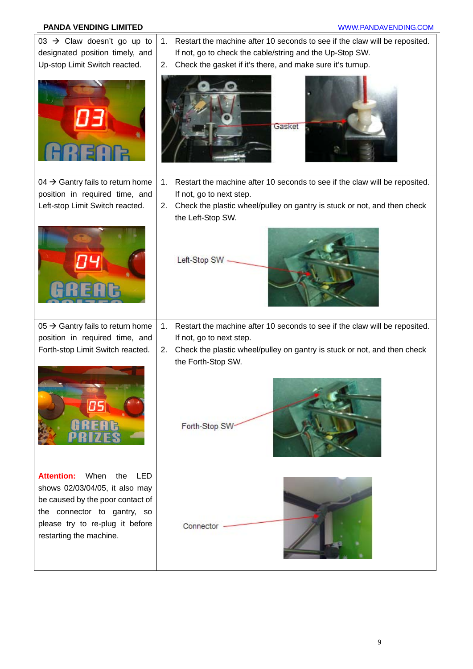#### **PANDA VENDING LIMITED PANDA VENDING LIMITED**

| 03 $\rightarrow$ Claw doesn't go up to<br>designated position timely, and | Restart the machine after 10 seconds to see if the claw will be reposited.<br>1.<br>If not, go to check the cable/string and the Up-Stop SW. |
|---------------------------------------------------------------------------|----------------------------------------------------------------------------------------------------------------------------------------------|
| Up-stop Limit Switch reacted.                                             | Check the gasket if it's there, and make sure it's turnup.<br>2.                                                                             |
|                                                                           | Gasket                                                                                                                                       |
| 04 $\rightarrow$ Gantry fails to return home                              | 1.<br>Restart the machine after 10 seconds to see if the claw will be reposited.                                                             |
| position in required time, and                                            | If not, go to next step.                                                                                                                     |
| Left-stop Limit Switch reacted.                                           | Check the plastic wheel/pulley on gantry is stuck or not, and then check<br>2.                                                               |
|                                                                           | the Left-Stop SW.                                                                                                                            |
|                                                                           | Left-Stop SW -                                                                                                                               |
| 05 $\rightarrow$ Gantry fails to return home                              | Restart the machine after 10 seconds to see if the claw will be reposited.<br>1.                                                             |
| position in required time, and                                            | If not, go to next step.                                                                                                                     |
| Forth-stop Limit Switch reacted.                                          | Check the plastic wheel/pulley on gantry is stuck or not, and then check<br>2.<br>the Forth-Stop SW.                                         |
| OS,                                                                       | Forth-Stop SW                                                                                                                                |
| <b>Attention:</b><br>When<br>the<br><b>LED</b>                            |                                                                                                                                              |
| shows 02/03/04/05, it also may                                            |                                                                                                                                              |
| be caused by the poor contact of                                          |                                                                                                                                              |
| the connector to gantry, so<br>please try to re-plug it before            | Connector                                                                                                                                    |
| restarting the machine.                                                   |                                                                                                                                              |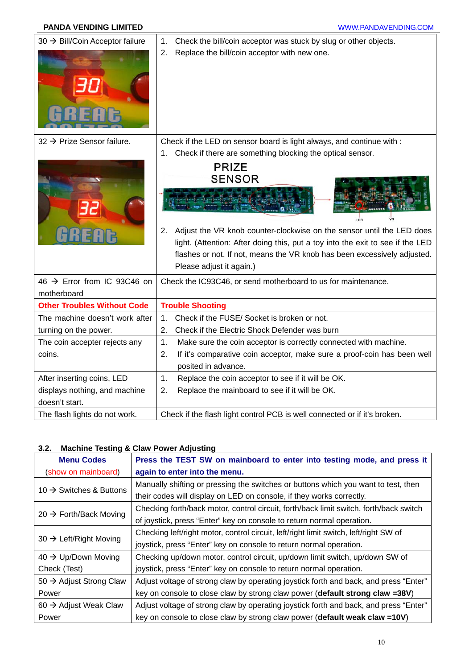#### **PANDA VENDING LIMITED WWW.PANDAVENDING.COM**

| 30 → Bill/Coin Acceptor failure        | Check the bill/coin acceptor was stuck by slug or other objects.<br>1.         |
|----------------------------------------|--------------------------------------------------------------------------------|
|                                        | Replace the bill/coin acceptor with new one.<br>2.                             |
| 32 $\rightarrow$ Prize Sensor failure. | Check if the LED on sensor board is light always, and continue with :          |
|                                        | Check if there are something blocking the optical sensor.<br>1.                |
|                                        | <b>PRIZE</b>                                                                   |
|                                        | <b>SENSOR</b>                                                                  |
|                                        | LED                                                                            |
|                                        | Adjust the VR knob counter-clockwise on the sensor until the LED does<br>2.    |
|                                        | light. (Attention: After doing this, put a toy into the exit to see if the LED |
|                                        | flashes or not. If not, means the VR knob has been excessively adjusted.       |
|                                        | Please adjust it again.)                                                       |
| 46 → Error from IC 93C46 on            | Check the IC93C46, or send motherboard to us for maintenance.                  |
| motherboard                            |                                                                                |
| <b>Other Troubles Without Code</b>     | <b>Trouble Shooting</b>                                                        |
| The machine doesn't work after         | Check if the FUSE/ Socket is broken or not.<br>1.                              |
| turning on the power.                  | Check if the Electric Shock Defender was burn<br>2.                            |
| The coin accepter rejects any          | 1.<br>Make sure the coin acceptor is correctly connected with machine.         |
| coins.                                 | 2.<br>If it's comparative coin acceptor, make sure a proof-coin has been well  |
|                                        | posited in advance.                                                            |
| After inserting coins, LED             | 1.<br>Replace the coin acceptor to see if it will be OK.                       |
| displays nothing, and machine          | 2.<br>Replace the mainboard to see if it will be OK.                           |
| doesn't start.                         |                                                                                |
| The flash lights do not work.          | Check if the flash light control PCB is well connected or if it's broken.      |

#### **3.2. Machine Testing & Claw Power Adjusting**

| <b>Menu Codes</b>                   | Press the TEST SW on mainboard to enter into testing mode, and press it                |
|-------------------------------------|----------------------------------------------------------------------------------------|
| (show on mainboard)                 | again to enter into the menu.                                                          |
|                                     | Manually shifting or pressing the switches or buttons which you want to test, then     |
| 10 $\rightarrow$ Switches & Buttons | their codes will display on LED on console, if they works correctly.                   |
|                                     | Checking forth/back motor, control circuit, forth/back limit switch, forth/back switch |
| $20 \rightarrow$ Forth/Back Moving  | of joystick, press "Enter" key on console to return normal operation.                  |
|                                     | Checking left/right motor, control circuit, left/right limit switch, left/right SW of  |
| 30 $\rightarrow$ Left/Right Moving  | joystick, press "Enter" key on console to return normal operation.                     |
| $40 \rightarrow$ Up/Down Moving     | Checking up/down motor, control circuit, up/down limit switch, up/down SW of           |
| Check (Test)                        | joystick, press "Enter" key on console to return normal operation.                     |
| 50 $\rightarrow$ Adjust Strong Claw | Adjust voltage of strong claw by operating joystick forth and back, and press "Enter"  |
| Power                               | key on console to close claw by strong claw power (default strong claw =38V)           |
| 60 $\rightarrow$ Adjust Weak Claw   | Adjust voltage of strong claw by operating joystick forth and back, and press "Enter"  |
| Power                               | key on console to close claw by strong claw power (default weak claw =10V)             |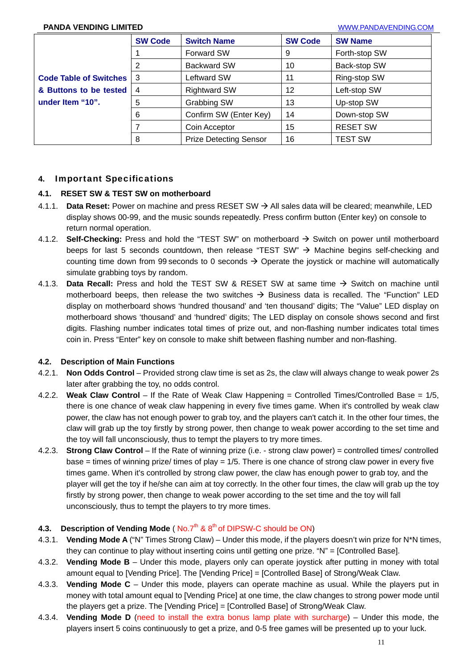#### **PANDA VENDING LIMITED** WWW.PANDAVENDING.COM

|                               | <b>SW Code</b> | <b>Switch Name</b>            | <b>SW Code</b> | <b>SW Name</b>  |
|-------------------------------|----------------|-------------------------------|----------------|-----------------|
|                               |                | <b>Forward SW</b>             | 9              | Forth-stop SW   |
|                               | 2              | <b>Backward SW</b>            | 10             | Back-stop SW    |
| <b>Code Table of Switches</b> | 3              | Leftward SW                   | 11             | Ring-stop SW    |
| & Buttons to be tested        | 4              | <b>Rightward SW</b>           | 12             | Left-stop SW    |
| under Item "10".              | 5              | Grabbing SW                   | 13             | Up-stop SW      |
|                               | 6              | Confirm SW (Enter Key)        | 14             | Down-stop SW    |
|                               |                | Coin Acceptor                 | 15             | <b>RESET SW</b> |
|                               | 8              | <b>Prize Detecting Sensor</b> | 16             | <b>TEST SW</b>  |

#### **4.** Important Specifications

#### **4.1. RESET SW & TEST SW on motherboard**

- 4.1.1. **Data Reset:** Power on machine and press RESET SW → All sales data will be cleared: meanwhile, LED display shows 00-99, and the music sounds repeatedly. Press confirm button (Enter key) on console to return normal operation.
- 4.1.2. **Self-Checking:** Press and hold the "TEST SW" on motherboard  $\rightarrow$  Switch on power until motherboard beeps for last 5 seconds countdown, then release "TEST SW"  $\rightarrow$  Machine begins self-checking and counting time down from 99 seconds to 0 seconds  $\rightarrow$  Operate the joystick or machine will automatically simulate grabbing toys by random.
- 4.1.3. **Data Recall:** Press and hold the TEST SW & RESET SW at same time → Switch on machine until motherboard beeps, then release the two switches  $\rightarrow$  Business data is recalled. The "Function" LED display on motherboard shows 'hundred thousand' and 'ten thousand' digits; The "Value" LED display on motherboard shows 'thousand' and 'hundred' digits; The LED display on console shows second and first digits. Flashing number indicates total times of prize out, and non-flashing number indicates total times coin in. Press "Enter" key on console to make shift between flashing number and non-flashing.

#### **4.2. Description of Main Functions**

- 4.2.1. **Non Odds Control**  Provided strong claw time is set as 2s, the claw will always change to weak power 2s later after grabbing the toy, no odds control.
- 4.2.2. **Weak Claw Control** If the Rate of Weak Claw Happening = Controlled Times/Controlled Base = 1/5, there is one chance of weak claw happening in every five times game. When it's controlled by weak claw power, the claw has not enough power to grab toy, and the players can't catch it. In the other four times, the claw will grab up the toy firstly by strong power, then change to weak power according to the set time and the toy will fall unconsciously, thus to tempt the players to try more times.
- 4.2.3. **Strong Claw Control** If the Rate of winning prize (i.e. strong claw power) = controlled times/ controlled base = times of winning prize/ times of play = 1/5. There is one chance of strong claw power in every five times game. When it's controlled by strong claw power, the claw has enough power to grab toy, and the player will get the toy if he/she can aim at toy correctly. In the other four times, the claw will grab up the toy firstly by strong power, then change to weak power according to the set time and the toy will fall unconsciously, thus to tempt the players to try more times.

#### **4.3. Description of Vending Mode (No.7th & 8th of DIPSW-C should be ON)**

- 4.3.1. **Vending Mode A** ("N" Times Strong Claw) Under this mode, if the players doesn't win prize for N\*N times, they can continue to play without inserting coins until getting one prize. "N" = [Controlled Base].
- 4.3.2. **Vending Mode B**  Under this mode, players only can operate joystick after putting in money with total amount equal to [Vending Price]. The [Vending Price] = [Controlled Base] of Strong/Weak Claw.
- 4.3.3. **Vending Mode C** Under this mode, players can operate machine as usual. While the players put in money with total amount equal to [Vending Price] at one time, the claw changes to strong power mode until the players get a prize. The [Vending Price] = [Controlled Base] of Strong/Weak Claw.
- 4.3.4. **Vending Mode D** (need to install the extra bonus lamp plate with surcharge) Under this mode, the players insert 5 coins continuously to get a prize, and 0-5 free games will be presented up to your luck.